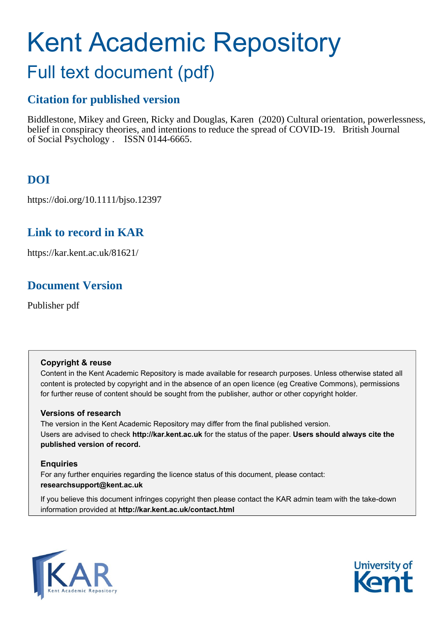# Kent Academic Repository

# Full text document (pdf)

# **Citation for published version**

Biddlestone, Mikey and Green, Ricky and Douglas, Karen (2020) Cultural orientation, powerlessness, belief in conspiracy theories, and intentions to reduce the spread of COVID-19. British Journal of Social Psychology . ISSN 0144-6665.

# **DOI**

https://doi.org/10.1111/bjso.12397

# **Link to record in KAR**

https://kar.kent.ac.uk/81621/

# **Document Version**

Publisher pdf

## **Copyright & reuse**

Content in the Kent Academic Repository is made available for research purposes. Unless otherwise stated all content is protected by copyright and in the absence of an open licence (eg Creative Commons), permissions for further reuse of content should be sought from the publisher, author or other copyright holder.

## **Versions of research**

The version in the Kent Academic Repository may differ from the final published version. Users are advised to check **http://kar.kent.ac.uk** for the status of the paper. **Users should always cite the published version of record.**

## **Enquiries**

For any further enquiries regarding the licence status of this document, please contact: **researchsupport@kent.ac.uk**

If you believe this document infringes copyright then please contact the KAR admin team with the take-down information provided at **http://kar.kent.ac.uk/contact.html**



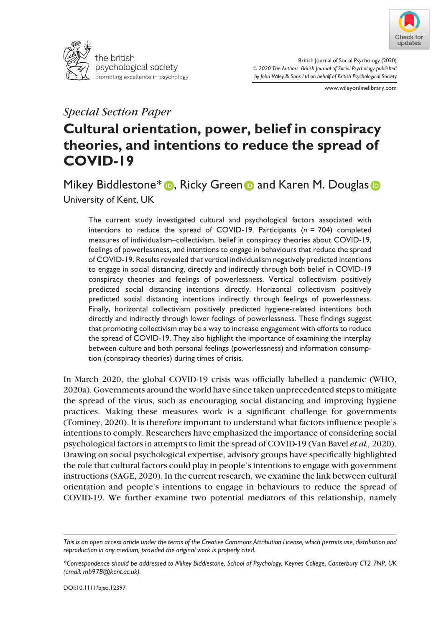



British Journal of Social Psychology (2020) © 2020 The Authors. British Journal of Social Psychology published by John Wiley & Sons Ltd on behalf of British Psychological Society

www.wileyonlinelibrary.com

## Special Section Paper

## Cultural orientation, power, belief in conspiracy theories, and intentions to reduce the spread of COVID-19

Mikey Biddle[s](https://orcid.org/0000-0002-0381-6924)tone\* **D**, Ricky Green **D** and Karen M. Douglas **D** University of Kent, UK

The current study investigated cultural and psychological factors associated with intentions to reduce the spread of COVID-19. Participants ( $n = 704$ ) completed measures of individualism–collectivism, belief in conspiracy theories about COVID-19, feelings of powerlessness, and intentions to engage in behaviours that reduce the spread of COVID-19. Results revealed that vertical individualism negatively predicted intentions to engage in social distancing, directly and indirectly through both belief in COVID-19 conspiracy theories and feelings of powerlessness. Vertical collectivism positively predicted social distancing intentions directly. Horizontal collectivism positively predicted social distancing intentions indirectly through feelings of powerlessness. Finally, horizontal collectivism positively predicted hygiene-related intentions both directly and indirectly through lower feelings of powerlessness. These findings suggest that promoting collectivism may be a way to increase engagement with efforts to reduce the spread of COVID-19. They also highlight the importance of examining the interplay between culture and both personal feelings (powerlessness) and information consumption (conspiracy theories) during times of crisis.

In March 2020, the global COVID-19 crisis was officially labelled a pandemic (WHO, 2020a). Governments around the world have since taken unprecedented steps to mitigate the spread of the virus, such as encouraging social distancing and improving hygiene practices. Making these measures work is a significant challenge for governments (Tominey, 2020). It is therefore important to understand what factors influence people's intentions to comply. Researchers have emphasized the importance of considering social psychological factors in attempts to limit the spread of COVID-19 (Van Bavel et al., 2020). Drawing on social psychological expertise, advisory groups have specifically highlighted the role that cultural factors could play in people's intentions to engage with government instructions (SAGE, 2020). In the current research, we examine the link between cultural orientation and people's intentions to engage in behaviours to reduce the spread of COVID-19. We further examine two potential mediators of this relationship, namely

This is an open access article under the terms of the [Creative Commons Attribution](http://creativecommons.org/licenses/by/4.0/) License, which permits use, distribution and reproduction in any medium, provided the original work is properly cited.

<sup>\*</sup>Correspondence should be addressed to Mikey Biddlestone, School of Psychology, Keynes College, Canterbury CT2 7NP, UK (email: [mb978@kent.ac.uk\)](mailto:).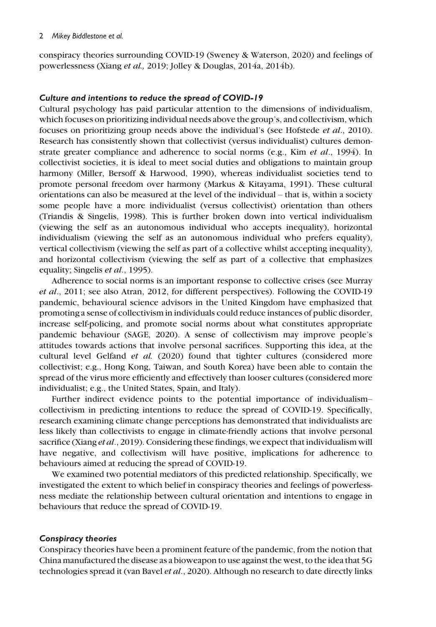#### 2 Mikey Biddlestone et al.

conspiracy theories surrounding COVID-19 (Sweney & Waterson, 2020) and feelings of powerlessness (Xiang et al., 2019; Jolley & Douglas, 2014a, 2014b).

#### Culture and intentions to reduce the spread of COVID-19

Cultural psychology has paid particular attention to the dimensions of individualism, which focuses on prioritizing individual needs above the group's, and collectivism, which focuses on prioritizing group needs above the individual's (see Hofstede et al., 2010). Research has consistently shown that collectivist (versus individualist) cultures demonstrate greater compliance and adherence to social norms (e.g., Kim *et al.*, 1994). In collectivist societies, it is ideal to meet social duties and obligations to maintain group harmony (Miller, Bersoff & Harwood, 1990), whereas individualist societies tend to promote personal freedom over harmony (Markus & Kitayama, 1991). These cultural orientations can also be measured at the level of the individual – that is, within a society some people have a more individualist (versus collectivist) orientation than others (Triandis & Singelis, 1998). This is further broken down into vertical individualism (viewing the self as an autonomous individual who accepts inequality), horizontal individualism (viewing the self as an autonomous individual who prefers equality), vertical collectivism (viewing the self as part of a collective whilst accepting inequality), and horizontal collectivism (viewing the self as part of a collective that emphasizes equality; Singelis et al., 1995).

Adherence to social norms is an important response to collective crises (see Murray et al., 2011; see also Atran, 2012, for different perspectives). Following the COVID-19 pandemic, behavioural science advisors in the United Kingdom have emphasized that promoting a sense of collectivism in individuals could reduce instances of public disorder, increase self-policing, and promote social norms about what constitutes appropriate pandemic behaviour (SAGE, 2020). A sense of collectivism may improve people's attitudes towards actions that involve personal sacrifices. Supporting this idea, at the cultural level Gelfand et al. (2020) found that tighter cultures (considered more collectivist; e.g., Hong Kong, Taiwan, and South Korea) have been able to contain the spread of the virus more efficiently and effectively than looser cultures (considered more individualist; e.g., the United States, Spain, and Italy).

Further indirect evidence points to the potential importance of individualism– collectivism in predicting intentions to reduce the spread of COVID-19. Specifically, research examining climate change perceptions has demonstrated that individualists are less likely than collectivists to engage in climate-friendly actions that involve personal sacrifice (Xiang *et al.*, 2019). Considering these findings, we expect that individualism will have negative, and collectivism will have positive, implications for adherence to behaviours aimed at reducing the spread of COVID-19.

We examined two potential mediators of this predicted relationship. Specifically, we investigated the extent to which belief in conspiracy theories and feelings of powerlessness mediate the relationship between cultural orientation and intentions to engage in behaviours that reduce the spread of COVID-19.

#### Conspiracy theories

Conspiracy theories have been a prominent feature of the pandemic, from the notion that China manufactured the disease as a bioweapon to use against the west, to the idea that 5G technologies spread it (van Bavel *et al.*, 2020). Although no research to date directly links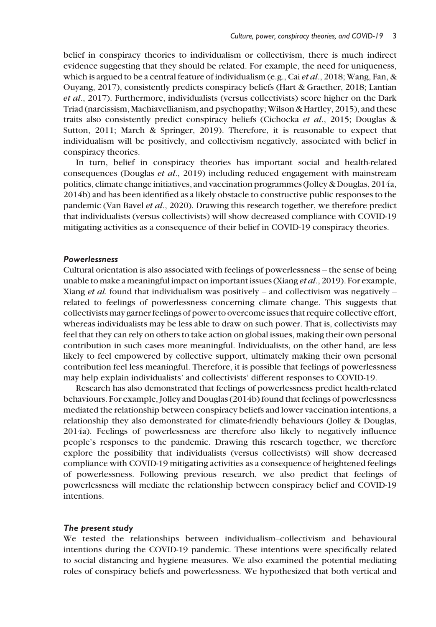belief in conspiracy theories to individualism or collectivism, there is much indirect evidence suggesting that they should be related. For example, the need for uniqueness, which is argued to be a central feature of individualism (e.g., Cai *et al.*, 2018; Wang, Fan, & Ouyang, 2017), consistently predicts conspiracy beliefs (Hart & Graether, 2018; Lantian et al., 2017). Furthermore, individualists (versus collectivists) score higher on the Dark Triad (narcissism, Machiavellianism, and psychopathy; Wilson & Hartley, 2015), and these traits also consistently predict conspiracy beliefs (Cichocka et al., 2015; Douglas & Sutton, 2011; March & Springer, 2019). Therefore, it is reasonable to expect that individualism will be positively, and collectivism negatively, associated with belief in conspiracy theories.

In turn, belief in conspiracy theories has important social and health-related consequences (Douglas et al., 2019) including reduced engagement with mainstream politics, climate change initiatives, and vaccination programmes (Jolley & Douglas, 2014a, 2014b) and has been identified as a likely obstacle to constructive public responses to the pandemic (Van Bavel et al., 2020). Drawing this research together, we therefore predict that individualists (versus collectivists) will show decreased compliance with COVID-19 mitigating activities as a consequence of their belief in COVID-19 conspiracy theories.

#### Powerlessness

Cultural orientation is also associated with feelings of powerlessness – the sense of being unable to make a meaningful impact on important issues (Xiang *et al.*, 2019). For example, Xiang *et al.* found that individualism was positively – and collectivism was negatively – related to feelings of powerlessness concerning climate change. This suggests that collectivists may garner feelings of power to overcome issues that require collective effort, whereas individualists may be less able to draw on such power. That is, collectivists may feel that they can rely on others to take action on global issues, making their own personal contribution in such cases more meaningful. Individualists, on the other hand, are less likely to feel empowered by collective support, ultimately making their own personal contribution feel less meaningful. Therefore, it is possible that feelings of powerlessness may help explain individualists' and collectivists' different responses to COVID-19.

Research has also demonstrated that feelings of powerlessness predict health-related behaviours. For example, Jolley and Douglas (2014b) found that feelings of powerlessness mediated the relationship between conspiracy beliefs and lower vaccination intentions, a relationship they also demonstrated for climate-friendly behaviours (Jolley & Douglas, 2014a). Feelings of powerlessness are therefore also likely to negatively influence people's responses to the pandemic. Drawing this research together, we therefore explore the possibility that individualists (versus collectivists) will show decreased compliance with COVID-19 mitigating activities as a consequence of heightened feelings of powerlessness. Following previous research, we also predict that feelings of powerlessness will mediate the relationship between conspiracy belief and COVID-19 intentions.

#### The present study

We tested the relationships between individualism–collectivism and behavioural intentions during the COVID-19 pandemic. These intentions were specifically related to social distancing and hygiene measures. We also examined the potential mediating roles of conspiracy beliefs and powerlessness. We hypothesized that both vertical and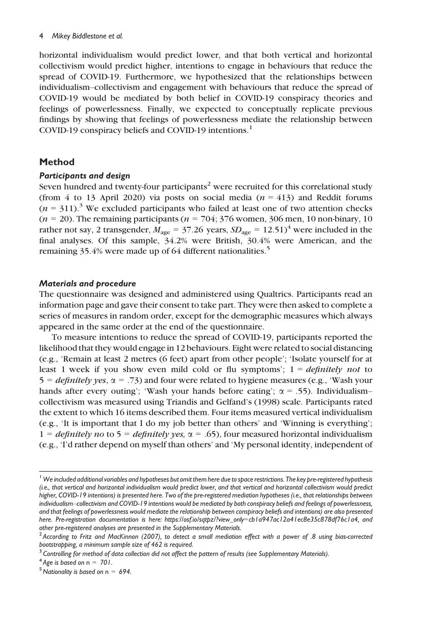#### 4 Mikey Biddlestone et al.

horizontal individualism would predict lower, and that both vertical and horizontal collectivism would predict higher, intentions to engage in behaviours that reduce the spread of COVID-19. Furthermore, we hypothesized that the relationships between individualism–collectivism and engagement with behaviours that reduce the spread of COVID-19 would be mediated by both belief in COVID-19 conspiracy theories and feelings of powerlessness. Finally, we expected to conceptually replicate previous findings by showing that feelings of powerlessness mediate the relationship between COVID-19 conspiracy beliefs and COVID-19 intentions.<sup>1</sup>

#### Method

#### Participants and design

Seven hundred and twenty-four participants<sup>2</sup> were recruited for this correlational study (from 4 to 13 April 2020) via posts on social media  $(n = 413)$  and Reddit forums  $(n = 311)^3$  We excluded participants who failed at least one of two attention checks  $(n = 20)$ . The remaining participants  $(n = 704; 376$  women, 306 men, 10 non-binary, 10 rather not say, 2 transgender,  $M_{\text{age}} = 37.26$  years,  $SD_{\text{age}} = 12.51$ <sup>4</sup> were included in the final analyses. Of this sample, 34.2% were British, 30.4% were American, and the remaining 35.4% were made up of 64 different nationalities.<sup>5</sup>

#### Materials and procedure

The questionnaire was designed and administered using Qualtrics. Participants read an information page and gave their consent to take part. They were then asked to complete a series of measures in random order, except for the demographic measures which always appeared in the same order at the end of the questionnaire.

To measure intentions to reduce the spread of COVID-19, participants reported the likelihood that they would engage in 12 behaviours. Eight were related to social distancing (e.g., 'Remain at least 2 metres (6 feet) apart from other people'; 'Isolate yourself for at least 1 week if you show even mild cold or flu symptoms';  $1 = \text{definitely not to}$  $5 = \text{definitely yes}, \alpha = .73$  and four were related to hygiene measures (e.g., 'Wash your hands after every outing'; 'Wash your hands before eating';  $\alpha = .55$ ). Individualismcollectivism was measured using Triandis and Gelfand's (1998) scale. Participants rated the extent to which 16 items described them. Four items measured vertical individualism (e.g., 'It is important that I do my job better than others' and 'Winning is everything'; 1 = *definitely no* to 5 = *definitely yes*,  $\alpha$  = .65), four measured horizontal individualism (e.g., 'I'd rather depend on myself than others' and 'My personal identity, independent of

 $1$  We included additional variables and hypotheses but omit them here due to space restrictions. The key pre-registered hypothesis (i.e., that vertical and horizontal individualism would predict lower, and that vertical and horizontal collectivism would predict higher, COVID-19 intentions) is presented here. Two of the pre-registered mediation hypotheses (i.e., that relationships between individualism–collectivism and COVID-19 intentions would be mediated by both conspiracy beliefs and feelings of powerlessness, and that feelings of powerlessness would mediate the relationship between conspiracy beliefs and intentions) are also presented here. Pre-registration documentation is here: https://osf.io/sqtpz/?view\_only=[cb1a947ac12a41ec8e35c878df76c1a4,](https://osf.io/sqtpz/?view_only=cb1a947ac12a41ec8e35c878df76c1a4) and other pre-registered analyses are presented in the Supplementary Materials.

 $2$  According to Fritz and MacKinnon (2007), to detect a small mediation effect with a power of .8 using bias-corrected bootstrapping, a minimum sample size of 462 is required.

<sup>&</sup>lt;sup>3</sup> Controlling for method of data collection did not affect the pattern of results (see Supplementary Materials).<br><sup>4</sup> Age is based on  $n = 701$ .

 $5$  Nationality is based on n = 694.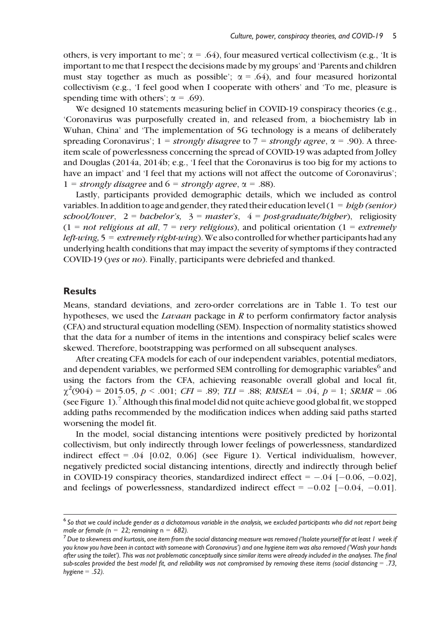others, is very important to me';  $\alpha = .64$ ), four measured vertical collectivism (e.g., 'It is important to me that I respect the decisions made by my groups' and 'Parents and children must stay together as much as possible';  $\alpha = .64$ ), and four measured horizontal collectivism (e.g., 'I feel good when I cooperate with others' and 'To me, pleasure is spending time with others';  $\alpha = .69$ ).

We designed 10 statements measuring belief in COVID-19 conspiracy theories (e.g., 'Coronavirus was purposefully created in, and released from, a biochemistry lab in Wuhan, China' and 'The implementation of 5G technology is a means of deliberately spreading Coronavirus';  $1 = strongly disagree$  to  $7 = strongly \ degree$ ,  $\alpha = .90$ ). A threeitem scale of powerlessness concerning the spread of COVID-19 was adapted from Jolley and Douglas (2014a, 2014b; e.g., 'I feel that the Coronavirus is too big for my actions to have an impact' and 'I feel that my actions will not affect the outcome of Coronavirus'; 1 = strongly disagree and 6 = strongly agree,  $\alpha$  = .88).

Lastly, participants provided demographic details, which we included as control variables. In addition to age and gender, they rated their education level  $(1 = high (semior)$ school/lower,  $2 = \text{backelor's}, 3 = \text{master's}, 4 = \text{post-gradient/higher}$ , religiosity  $(1 = not$  religious at all,  $7 = very$  religious), and political orientation  $(1 = extremely$ *left-wing*,  $5 =$  *extremely right-wing*). We also controlled for whether participants had any underlying health conditions that may impact the severity of symptoms if they contracted COVID-19 (yes or no). Finally, participants were debriefed and thanked.

#### **Results**

Means, standard deviations, and zero-order correlations are in Table 1. To test our hypotheses, we used the *Lavaan* package in  $R$  to perform confirmatory factor analysis (CFA) and structural equation modelling (SEM). Inspection of normality statistics showed that the data for a number of items in the intentions and conspiracy belief scales were skewed. Therefore, bootstrapping was performed on all subsequent analyses.

After creating CFA models for each of our independent variables, potential mediators, and dependent variables, we performed SEM controlling for demographic variables<sup>6</sup> and using the factors from the CFA, achieving reasonable overall global and local fit,  $\chi^2(904) = 2015.05, p < .001; CFI = .89; TLI = .88; RMSEA = .04, p = 1; SRMR = .06$ (see Figure 1).7Although this final model did not quite achieve good global fit, we stopped adding paths recommended by the modification indices when adding said paths started worsening the model fit.

In the model, social distancing intentions were positively predicted by horizontal collectivism, but only indirectly through lower feelings of powerlessness, standardized indirect effect =  $.04$  [0.02, 0.06] (see Figure 1). Vertical individualism, however, negatively predicted social distancing intentions, directly and indirectly through belief in COVID-19 conspiracy theories, standardized indirect effect  $= -0.04$  [ $-0.06$ ,  $-0.02$ ], and feelings of powerlessness, standardized indirect effect =  $-0.02$  [ $-0.04$ ,  $-0.01$ ].

<sup>&</sup>lt;sup>6</sup> So that we could include gender as a dichotomous variable in the analysis, we excluded participants who did not report being male or female (n = 22; remaining n = 682).<br><sup>7</sup> Due to skewness and kurtosis, one item from the social distancing measure was removed ('Isolate yourself for at least 1 week if

you know you have been in contact with someone with Coronavirus') and one hygiene item was also removed ('Wash your hands after using the toilet'). This was not problematic conceptually since similar items were already included in the analyses. The final sub-scales provided the best model fit, and reliability was not compromised by removing these items (social distancing = .73, hygiene  $= .52$ ).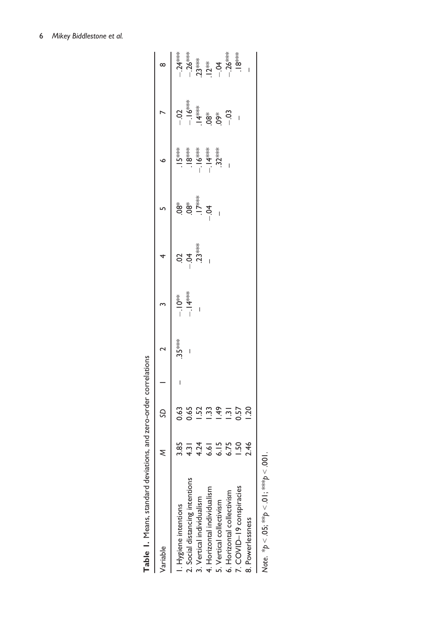| Table 1. Means, standard deviations, and zero-order correlations |      |                  |         |         |         |                           |                                                                                                                                                                                                                                                                                                                                                                                                                                                                                                                                                                                                      |                                                                                          |                                                  |
|------------------------------------------------------------------|------|------------------|---------|---------|---------|---------------------------|------------------------------------------------------------------------------------------------------------------------------------------------------------------------------------------------------------------------------------------------------------------------------------------------------------------------------------------------------------------------------------------------------------------------------------------------------------------------------------------------------------------------------------------------------------------------------------------------------|------------------------------------------------------------------------------------------|--------------------------------------------------|
| Variable                                                         |      |                  |         |         |         |                           |                                                                                                                                                                                                                                                                                                                                                                                                                                                                                                                                                                                                      |                                                                                          |                                                  |
| I. Hygiene intentions                                            | 3.85 | 0.63             | $35***$ |         |         |                           | $.15***$                                                                                                                                                                                                                                                                                                                                                                                                                                                                                                                                                                                             |                                                                                          |                                                  |
| 2. Social distancing intentions                                  | 4.31 | 0.65             |         | $-14**$ | $-5$    | $\overset{*}{\mathbf{8}}$ |                                                                                                                                                                                                                                                                                                                                                                                                                                                                                                                                                                                                      |                                                                                          |                                                  |
| 3. Vertical individualism                                        | 4.24 | $-52$            |         |         | $23***$ | $.17***$                  | $\begin{array}{c} -18 \rightarrow 0 \\ -18 \rightarrow 0 \\ -18 \rightarrow 0 \\ -18 \rightarrow 0 \\ -18 \rightarrow 0 \\ -18 \rightarrow 0 \\ -18 \rightarrow 0 \\ -18 \rightarrow 0 \\ -18 \rightarrow 0 \\ -18 \rightarrow 0 \\ -18 \rightarrow 0 \\ -18 \rightarrow 0 \\ -18 \rightarrow 0 \\ -18 \rightarrow 0 \\ -18 \rightarrow 0 \\ -18 \rightarrow 0 \\ -18 \rightarrow 0 \\ -18 \rightarrow 0 \\ -18 \rightarrow 0 \\ -18 \rightarrow 0 \\ -18 \rightarrow 0 \\ -18 \rightarrow 0 \\ -18 \rightarrow 0 \\ -18 \rightarrow 0 \\ -18 \rightarrow 0 \\ -18 \rightarrow 0 \\ -18 \rightarrow$ | $-3$<br>$-1$ $-4$ $-8$<br>$-1$ $-8$ $-8$<br>$-3$<br>$-3$<br>$-3$<br>$-3$<br>$-3$<br>$-3$ |                                                  |
| 4. Horizontal individualism                                      | 6.61 |                  |         |         |         | $-5$                      |                                                                                                                                                                                                                                                                                                                                                                                                                                                                                                                                                                                                      |                                                                                          |                                                  |
| 5. Vertical collectivism                                         | 6.15 | 1.49             |         |         |         |                           |                                                                                                                                                                                                                                                                                                                                                                                                                                                                                                                                                                                                      |                                                                                          | ****<br>--26***<br>--26***<br>--26***<br>--26*** |
| 6. Horizontal collectivism                                       | 6.75 | $\overline{131}$ |         |         |         |                           |                                                                                                                                                                                                                                                                                                                                                                                                                                                                                                                                                                                                      | $-03$                                                                                    |                                                  |
| 7. COVID-19 conspiracies                                         | 50   | ë                |         |         |         |                           |                                                                                                                                                                                                                                                                                                                                                                                                                                                                                                                                                                                                      |                                                                                          |                                                  |

| l<br>١                |
|-----------------------|
| i<br>ı<br>।<br>र<br>í |
|                       |
|                       |
| Í                     |
|                       |
| J                     |

6. Horizontal collectivism  $6.75$   $-26***$ 7. COVID–19 conspiracies 1.50 0.57 – .18\*\*\* 8. Powerlessness 2.46 1.20  $\frac{4}{1}$  $\frac{3}{1}$  $\frac{5}{1}$  $\frac{7}{1}$ <br> $\frac{6}{1}$  $6.15$ <br> $6.75$  $1.50$ <br>2.46 7. COVID-19 conspiracies 6. Horizontal collectivism 5. Vertical collectivism 8. Powerlessness  $\overline{\phantom{a}}$ 

 $\overline{1}$ 

Note. \* $p < 0.05$ ; \*\* $p < 0$ |; \*\*\* $p < 0.01$ . Note. \* $p < 0$ 5; \*\* $p < 0$ 1; \*\*\* $p < 001$ .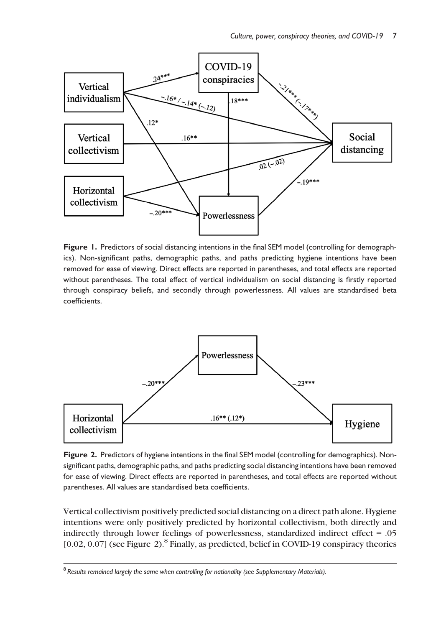

Figure 1. Predictors of social distancing intentions in the final SEM model (controlling for demographics). Non-significant paths, demographic paths, and paths predicting hygiene intentions have been removed for ease of viewing. Direct effects are reported in parentheses, and total effects are reported without parentheses. The total effect of vertical individualism on social distancing is firstly reported through conspiracy beliefs, and secondly through powerlessness. All values are standardised beta coefficients.



Figure 2. Predictors of hygiene intentions in the final SEM model (controlling for demographics). Nonsignificant paths, demographic paths, and paths predicting social distancing intentions have been removed for ease of viewing. Direct effects are reported in parentheses, and total effects are reported without parentheses. All values are standardised beta coefficients.

Vertical collectivism positively predicted social distancing on a direct path alone. Hygiene intentions were only positively predicted by horizontal collectivism, both directly and indirectly through lower feelings of powerlessness, standardized indirect effect = .05  $[0.02, 0.07]$  (see Figure 2).<sup>8</sup> Finally, as predicted, belief in COVID-19 conspiracy theories

<sup>8</sup> Results remained largely the same when controlling for nationality (see Supplementary Materials).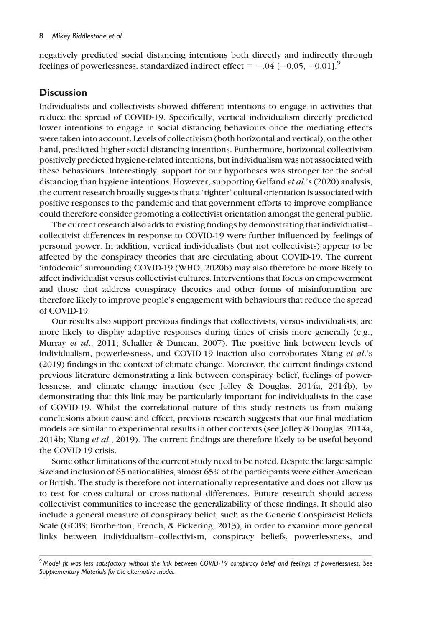negatively predicted social distancing intentions both directly and indirectly through feelings of powerlessness, standardized indirect effect =  $-.04$  [ $-0.05$ ,  $-0.01$ ].<sup>9</sup>

#### **Discussion**

Individualists and collectivists showed different intentions to engage in activities that reduce the spread of COVID-19. Specifically, vertical individualism directly predicted lower intentions to engage in social distancing behaviours once the mediating effects were taken into account. Levels of collectivism (both horizontal and vertical), on the other hand, predicted higher social distancing intentions. Furthermore, horizontal collectivism positively predicted hygiene-related intentions, but individualism was not associated with these behaviours. Interestingly, support for our hypotheses was stronger for the social distancing than hygiene intentions. However, supporting Gelfand *et al.*'s (2020) analysis, the current research broadly suggests that a 'tighter' cultural orientation is associated with positive responses to the pandemic and that government efforts to improve compliance could therefore consider promoting a collectivist orientation amongst the general public.

The current research also adds to existing findings by demonstrating that individualist– collectivist differences in response to COVID-19 were further influenced by feelings of personal power. In addition, vertical individualists (but not collectivists) appear to be affected by the conspiracy theories that are circulating about COVID-19. The current 'infodemic' surrounding COVID-19 (WHO, 2020b) may also therefore be more likely to affect individualist versus collectivist cultures. Interventions that focus on empowerment and those that address conspiracy theories and other forms of misinformation are therefore likely to improve people's engagement with behaviours that reduce the spread of COVID-19.

Our results also support previous findings that collectivists, versus individualists, are more likely to display adaptive responses during times of crisis more generally (e.g., Murray et al., 2011; Schaller & Duncan, 2007). The positive link between levels of individualism, powerlessness, and COVID-19 inaction also corroborates Xiang et al.'s (2019) findings in the context of climate change. Moreover, the current findings extend previous literature demonstrating a link between conspiracy belief, feelings of powerlessness, and climate change inaction (see Jolley & Douglas, 2014a, 2014b), by demonstrating that this link may be particularly important for individualists in the case of COVID-19. Whilst the correlational nature of this study restricts us from making conclusions about cause and effect, previous research suggests that our final mediation models are similar to experimental results in other contexts (see Jolley & Douglas, 2014a, 2014b; Xiang et al., 2019). The current findings are therefore likely to be useful beyond the COVID-19 crisis.

Some other limitations of the current study need to be noted. Despite the large sample size and inclusion of 65 nationalities, almost 65% of the participants were either American or British. The study is therefore not internationally representative and does not allow us to test for cross-cultural or cross-national differences. Future research should access collectivist communities to increase the generalizability of these findings. It should also include a general measure of conspiracy belief, such as the Generic Conspiracist Beliefs Scale (GCBS; Brotherton, French, & Pickering, 2013), in order to examine more general links between individualism–collectivism, conspiracy beliefs, powerlessness, and

<sup>&</sup>lt;sup>9</sup> Model fit was less satisfactory without the link between COVID-19 conspiracy belief and feelings of powerlessness. See Supplementary Materials for the alternative model.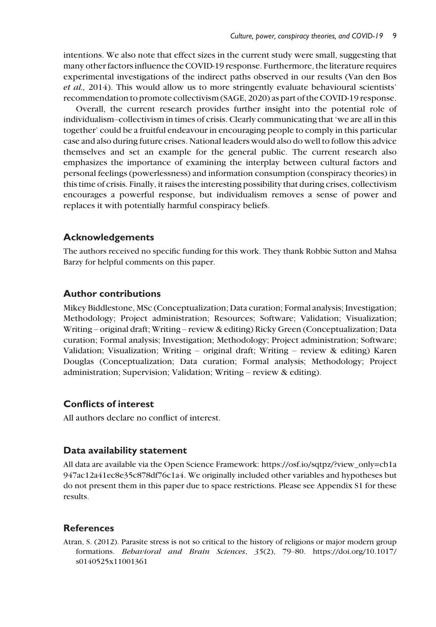intentions. We also note that effect sizes in the current study were small, suggesting that many other factors influence the COVID-19 response. Furthermore, the literature requires experimental investigations of the indirect paths observed in our results (Van den Bos et al., 2014). This would allow us to more stringently evaluate behavioural scientists' recommendation to promote collectivism (SAGE, 2020) as part of the COVID-19 response.

Overall, the current research provides further insight into the potential role of individualism–collectivism in times of crisis. Clearly communicating that 'we are all in this together' could be a fruitful endeavour in encouraging people to comply in this particular case and also during future crises. National leaders would also do well to follow this advice themselves and set an example for the general public. The current research also emphasizes the importance of examining the interplay between cultural factors and personal feelings (powerlessness) and information consumption (conspiracy theories) in this time of crisis. Finally, it raises the interesting possibility that during crises, collectivism encourages a powerful response, but individualism removes a sense of power and replaces it with potentially harmful conspiracy beliefs.

#### Acknowledgements

The authors received no specific funding for this work. They thank Robbie Sutton and Mahsa Barzy for helpful comments on this paper.

#### Author contributions

Mikey Biddlestone, MSc (Conceptualization; Data curation; Formal analysis; Investigation; Methodology; Project administration; Resources; Software; Validation; Visualization; Writing – original draft; Writing – review & editing) Ricky Green (Conceptualization; Data curation; Formal analysis; Investigation; Methodology; Project administration; Software; Validation; Visualization; Writing – original draft; Writing – review & editing) Karen Douglas (Conceptualization; Data curation; Formal analysis; Methodology; Project administration; Supervision; Validation; Writing – review & editing).

#### Conflicts of interest

All authors declare no conflict of interest.

#### Data availability statement

All data are available via the Open Science Framework: [https://osf.io/sqtpz/?view\\_only=cb1a](https://osf.io/sqtpz/?view_only=cb1a947ac12a41ec8e35c878df76c1a4) [947ac12a41ec8e35c878df76c1a4](https://osf.io/sqtpz/?view_only=cb1a947ac12a41ec8e35c878df76c1a4). We originally included other variables and hypotheses but do not present them in this paper due to space restrictions. Please see Appendix S1 for these results.

#### References

Atran, S. (2012). Parasite stress is not so critical to the history of religions or major modern group formations. Behavioral and Brain Sciences, 35(2), 79–80. [https://doi.org/10.1017/](https://doi.org/10.1017/s0140525x11001361) [s0140525x11001361](https://doi.org/10.1017/s0140525x11001361)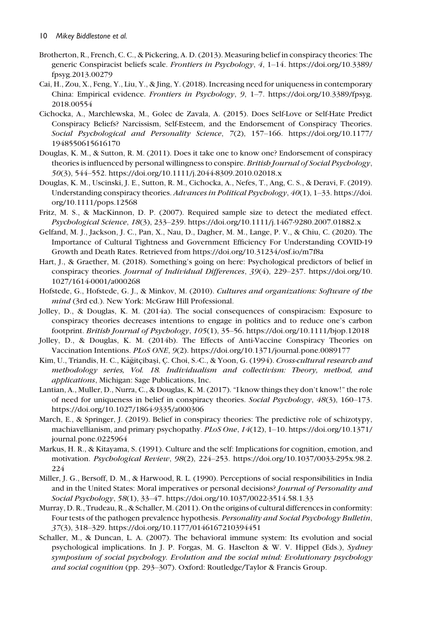- Brotherton, R., French, C. C., & Pickering, A. D. (2013). Measuring belief in conspiracy theories: The generic Conspiracist beliefs scale. Frontiers in Psychology, 4, 1–14. [https://doi.org/10.3389/](https://doi.org/10.3389/fpsyg.2013.00279) [fpsyg.2013.00279](https://doi.org/10.3389/fpsyg.2013.00279)
- Cai, H., Zou, X., Feng, Y., Liu, Y., & Jing, Y. (2018). Increasing need for uniqueness in contemporary China: Empirical evidence. Frontiers in Psychology, 9, 1–7. [https://doi.org/10.3389/fpsyg.](https://doi.org/10.3389/fpsyg.2018.00554) [2018.00554](https://doi.org/10.3389/fpsyg.2018.00554)
- Cichocka, A., Marchlewska, M., Golec de Zavala, A. (2015). Does Self-Love or Self-Hate Predict Conspiracy Beliefs? Narcissism, Self-Esteem, and the Endorsement of Conspiracy Theories. Social Psychological and Personality Science, 7(2), 157–166. [https://doi.org/10.1177/](http://dx.doi.org/10.1177/1948550615616170) [1948550615616170](http://dx.doi.org/10.1177/1948550615616170)
- Douglas, K. M., & Sutton, R. M. (2011). Does it take one to know one? Endorsement of conspiracy theories is influenced by personal willingness to conspire. British Journal of Social Psychology, 50(3), 544–552.<https://doi.org/10.1111/j.2044-8309.2010.02018.x>
- Douglas, K. M., Uscinski, J. E., Sutton, R. M., Cichocka, A., Nefes, T., Ang, C. S., & Deravi, F. (2019). Understanding conspiracy theories. Advances in Political Psychology, 40(1), 1-33. [https://doi.](https://doi.org/10.1111/pops.12568) [org/10.1111/pops.12568](https://doi.org/10.1111/pops.12568)
- Fritz, M. S., & MacKinnon, D. P. (2007). Required sample size to detect the mediated effect. Psychological Science, 18(3), 233–239.<https://doi.org/10.1111/j.1467-9280.2007.01882.x>
- Gelfand, M. J., Jackson, J. C., Pan, X., Nau, D., Dagher, M. M., Lange, P. V., & Chiu, C. (2020). The Importance of Cultural Tightness and Government Efficiency For Understanding COVID-19 Growth and Death Rates. Retrieved from<https://doi.org/10.31234/osf.io/m7f8a>
- Hart, J., & Graether, M. (2018). Something's going on here: Psychological predictors of belief in conspiracy theories. Journal of Individual Differences, 39(4), 229-237. [https://doi.org/10.](https://doi.org/10.1027/1614-0001/a000268) [1027/1614-0001/a000268](https://doi.org/10.1027/1614-0001/a000268)
- Hofstede, G., Hofstede, G. J., & Minkov, M. (2010). Cultures and organizations: Software of the mind (3rd ed.). New York: McGraw Hill Professional.
- Jolley, D., & Douglas, K. M. (2014a). The social consequences of conspiracism: Exposure to conspiracy theories decreases intentions to engage in politics and to reduce one's carbon footprint. British Journal of Psychology, 105(1), 35–56.<https://doi.org/10.1111/bjop.12018>
- Jolley, D., & Douglas, K. M. (2014b). The Effects of Anti-Vaccine Conspiracy Theories on Vaccination Intentions. PLoS ONE, 9(2). [https://doi.org/10.1371/journal.pone.0089177](http://dx.doi.org/10.1371/journal.pone.0089177)
- Kim, U., Triandis, H. C., Kâğitçibaşi, Ç. Choi, S.-C., & Yoon, G. (1994). *Cross-cultural research and* methodology series, Vol. 18. Individualism and collectivism: Theory, method, and applications, Michigan: Sage Publications, Inc.
- Lantian, A., Muller, D., Nurra, C., & Douglas, K. M. (2017). "I know things they don't know!" the role of need for uniqueness in belief in conspiracy theories. Social Psychology, 48(3), 160-173. <https://doi.org/10.1027/1864-9335/a000306>
- March, E., & Springer, J. (2019). Belief in conspiracy theories: The predictive role of schizotypy, machiavellianism, and primary psychopathy. PLoS One, 14(12), 1–10. [https://doi.org/10.1371/](https://doi.org/10.1371/journal.pone.0225964) [journal.pone.0225964](https://doi.org/10.1371/journal.pone.0225964)
- Markus, H. R., & Kitayama, S. (1991). Culture and the self: Implications for cognition, emotion, and motivation. Psychological Review, 98(2), 224–253. [https://doi.org/10.1037/0033-295x.98.2.](https://doi.org/10.1037/0033-295x.98.2.224) [224](https://doi.org/10.1037/0033-295x.98.2.224)
- Miller, J. G., Bersoff, D. M., & Harwood, R. L. (1990). Perceptions of social responsibilities in India and in the United States: Moral imperatives or personal decisions? Journal of Personality and Social Psychology, 58(1), 33–47.<https://doi.org/10.1037/0022-3514.58.1.33>
- Murray, D. R., Trudeau, R., & Schaller, M. (2011). On the origins of cultural differences in conformity: Four tests of the pathogen prevalence hypothesis. Personality and Social Psychology Bulletin, 37(3), 318–329.<https://doi.org/10.1177/0146167210394451>
- Schaller, M., & Duncan, L. A. (2007). The behavioral immune system: Its evolution and social psychological implications. In J. P. Forgas, M. G. Haselton & W. V. Hippel (Eds.), Sydney symposium of social psychology. Evolution and the social mind: Evolutionary psychology and social cognition (pp. 293–307). Oxford: Routledge/Taylor & Francis Group.